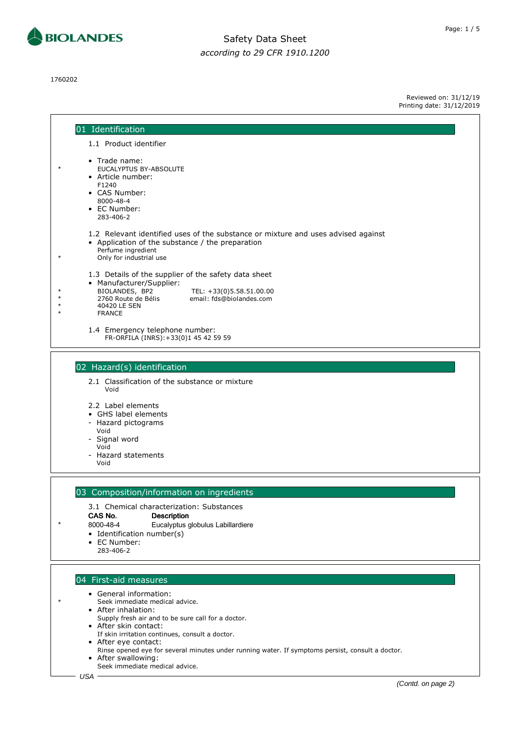

1760202

Reviewed on: 31/12/19 Printing date: 31/12/2019

| 01 Identification                                                                                                                                                                                                                                                                                                                                                                                      |                    |
|--------------------------------------------------------------------------------------------------------------------------------------------------------------------------------------------------------------------------------------------------------------------------------------------------------------------------------------------------------------------------------------------------------|--------------------|
| 1.1 Product identifier                                                                                                                                                                                                                                                                                                                                                                                 |                    |
| • Trade name:<br><b>EUCALYPTUS BY-ABSOLUTE</b><br>• Article number:<br>F1240<br>• CAS Number:<br>8000-48-4<br>• EC Number:<br>283-406-2                                                                                                                                                                                                                                                                |                    |
| 1.2 Relevant identified uses of the substance or mixture and uses advised against<br>• Application of the substance / the preparation<br>Perfume ingredient<br>Only for industrial use                                                                                                                                                                                                                 |                    |
| 1.3 Details of the supplier of the safety data sheet<br>• Manufacturer/Supplier:<br>BIOLANDES, BP2<br>TEL: +33(0)5.58.51.00.00<br>2760 Route de Bélis<br>email: fds@biolandes.com<br>40420 LE SEN<br><b>FRANCE</b>                                                                                                                                                                                     |                    |
| 1.4 Emergency telephone number:<br>FR-ORFILA (INRS): +33(0)1 45 42 59 59                                                                                                                                                                                                                                                                                                                               |                    |
| 02 Hazard(s) identification                                                                                                                                                                                                                                                                                                                                                                            |                    |
|                                                                                                                                                                                                                                                                                                                                                                                                        |                    |
| 2.1 Classification of the substance or mixture<br>Void                                                                                                                                                                                                                                                                                                                                                 |                    |
| 2.2 Label elements<br>• GHS label elements<br>- Hazard pictograms<br>Void<br>- Signal word<br>Void<br>- Hazard statements<br>Void                                                                                                                                                                                                                                                                      |                    |
| 03 Composition/information on ingredients                                                                                                                                                                                                                                                                                                                                                              |                    |
| 3.1 Chemical characterization: Substances<br>CAS No.<br><b>Description</b><br>8000-48-4<br>Eucalyptus globulus Labillardiere<br>• Identification number(s)<br>• EC Number:<br>283-406-2                                                                                                                                                                                                                |                    |
| 04 First-aid measures                                                                                                                                                                                                                                                                                                                                                                                  |                    |
| • General information:<br>Seek immediate medical advice.<br>• After inhalation:<br>Supply fresh air and to be sure call for a doctor.<br>• After skin contact:<br>If skin irritation continues, consult a doctor.<br>• After eye contact:<br>Rinse opened eye for several minutes under running water. If symptoms persist, consult a doctor.<br>• After swallowing:<br>Seek immediate medical advice. |                    |
| USA                                                                                                                                                                                                                                                                                                                                                                                                    | (Contd. on page 2) |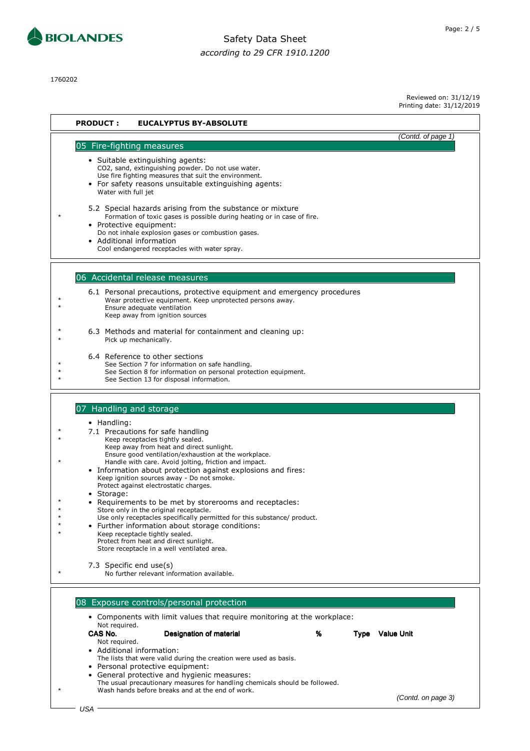

1760202

Reviewed on: 31/12/19 Printing date: 31/12/2019

| <b>PRODUCT:</b><br><b>EUCALYPTUS BY-ABSOLUTE</b>                                                                                                                                                                                                                                                                                                                                                                                                                                                                           |                    |
|----------------------------------------------------------------------------------------------------------------------------------------------------------------------------------------------------------------------------------------------------------------------------------------------------------------------------------------------------------------------------------------------------------------------------------------------------------------------------------------------------------------------------|--------------------|
|                                                                                                                                                                                                                                                                                                                                                                                                                                                                                                                            | (Contd. of page 1) |
| 05 Fire-fighting measures<br>• Suitable extinguishing agents:<br>CO2, sand, extinguishing powder. Do not use water.<br>Use fire fighting measures that suit the environment.<br>• For safety reasons unsuitable extinguishing agents:<br>Water with full jet                                                                                                                                                                                                                                                               |                    |
| 5.2 Special hazards arising from the substance or mixture<br>Formation of toxic gases is possible during heating or in case of fire.<br>• Protective equipment:<br>Do not inhale explosion gases or combustion gases.<br>• Additional information<br>Cool endangered receptacles with water spray.                                                                                                                                                                                                                         |                    |
| 06 Accidental release measures                                                                                                                                                                                                                                                                                                                                                                                                                                                                                             |                    |
| 6.1 Personal precautions, protective equipment and emergency procedures<br>Wear protective equipment. Keep unprotected persons away.<br>Ensure adequate ventilation<br>Keep away from ignition sources                                                                                                                                                                                                                                                                                                                     |                    |
| 6.3 Methods and material for containment and cleaning up:<br>Pick up mechanically.                                                                                                                                                                                                                                                                                                                                                                                                                                         |                    |
| 6.4 Reference to other sections<br>See Section 7 for information on safe handling.<br>See Section 8 for information on personal protection equipment.<br>See Section 13 for disposal information.                                                                                                                                                                                                                                                                                                                          |                    |
| 07 Handling and storage                                                                                                                                                                                                                                                                                                                                                                                                                                                                                                    |                    |
| • Handling:<br>7.1 Precautions for safe handling<br>Keep receptacles tightly sealed.<br>Keep away from heat and direct sunlight.<br>Ensure good ventilation/exhaustion at the workplace.<br>Handle with care. Avoid jolting, friction and impact.<br>• Information about protection against explosions and fires:<br>Keep ignition sources away - Do not smoke.<br>Protect against electrostatic charges.<br>• Storage:<br>Requirements to be met by storerooms and receptacles:<br>Store only in the original receptacle. |                    |
| Use only receptacles specifically permitted for this substance/ product.<br>• Further information about storage conditions:                                                                                                                                                                                                                                                                                                                                                                                                |                    |
| Keep receptacle tightly sealed.<br>Protect from heat and direct sunlight.<br>Store receptacle in a well ventilated area.                                                                                                                                                                                                                                                                                                                                                                                                   |                    |
| 7.3 Specific end use(s)<br>No further relevant information available.                                                                                                                                                                                                                                                                                                                                                                                                                                                      |                    |
| 08 Exposure controls/personal protection<br>• Components with limit values that require monitoring at the workplace:                                                                                                                                                                                                                                                                                                                                                                                                       |                    |
| Not required.<br>%<br>CAS No.<br>Designation of material<br>Type<br>Not required.<br>• Additional information:<br>The lists that were valid during the creation were used as basis.<br>• Personal protective equipment:<br>• General protective and hygienic measures:<br>The usual precautionary measures for handling chemicals should be followed.<br>Wash hands before breaks and at the end of work.                                                                                                                  | Value Unit         |
| USA                                                                                                                                                                                                                                                                                                                                                                                                                                                                                                                        | (Contd. on page 3) |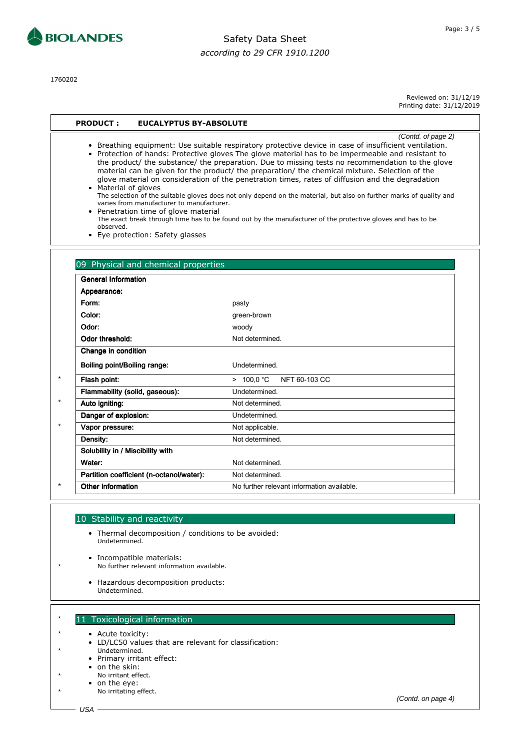

1760202

Page: 3 / 5

Reviewed on: 31/12/19 Printing date: 31/12/2019

| (Contd. of page 2)<br>• Breathing equipment: Use suitable respiratory protective device in case of insufficient ventilation.<br>• Protection of hands: Protective gloves The glove material has to be impermeable and resistant to<br>the product/ the substance/ the preparation. Due to missing tests no recommendation to the glove<br>material can be given for the product/ the preparation/ the chemical mixture. Selection of the<br>glove material on consideration of the penetration times, rates of diffusion and the degradation<br>• Material of gloves<br>The selection of the suitable gloves does not only depend on the material, but also on further marks of quality and<br>varies from manufacturer to manufacturer.<br>• Penetration time of glove material<br>The exact break through time has to be found out by the manufacturer of the protective gloves and has to be |  |
|-------------------------------------------------------------------------------------------------------------------------------------------------------------------------------------------------------------------------------------------------------------------------------------------------------------------------------------------------------------------------------------------------------------------------------------------------------------------------------------------------------------------------------------------------------------------------------------------------------------------------------------------------------------------------------------------------------------------------------------------------------------------------------------------------------------------------------------------------------------------------------------------------|--|
| observed.<br>• Eye protection: Safety glasses                                                                                                                                                                                                                                                                                                                                                                                                                                                                                                                                                                                                                                                                                                                                                                                                                                                   |  |
| 09 Physical and chemical properties                                                                                                                                                                                                                                                                                                                                                                                                                                                                                                                                                                                                                                                                                                                                                                                                                                                             |  |
| <b>General Information</b>                                                                                                                                                                                                                                                                                                                                                                                                                                                                                                                                                                                                                                                                                                                                                                                                                                                                      |  |
| Appearance:                                                                                                                                                                                                                                                                                                                                                                                                                                                                                                                                                                                                                                                                                                                                                                                                                                                                                     |  |
| Form:<br>pasty                                                                                                                                                                                                                                                                                                                                                                                                                                                                                                                                                                                                                                                                                                                                                                                                                                                                                  |  |
| Color:<br>green-brown                                                                                                                                                                                                                                                                                                                                                                                                                                                                                                                                                                                                                                                                                                                                                                                                                                                                           |  |
| Odor:<br>woody                                                                                                                                                                                                                                                                                                                                                                                                                                                                                                                                                                                                                                                                                                                                                                                                                                                                                  |  |
| Odor threshold:<br>Not determined.                                                                                                                                                                                                                                                                                                                                                                                                                                                                                                                                                                                                                                                                                                                                                                                                                                                              |  |
| Change in condition                                                                                                                                                                                                                                                                                                                                                                                                                                                                                                                                                                                                                                                                                                                                                                                                                                                                             |  |
| Boiling point/Boiling range:<br>Undetermined.                                                                                                                                                                                                                                                                                                                                                                                                                                                                                                                                                                                                                                                                                                                                                                                                                                                   |  |
| $\star$<br>> 100,0 °C<br>Flash point:<br>NFT 60-103 CC                                                                                                                                                                                                                                                                                                                                                                                                                                                                                                                                                                                                                                                                                                                                                                                                                                          |  |
| Flammability (solid, gaseous):<br>Undetermined.                                                                                                                                                                                                                                                                                                                                                                                                                                                                                                                                                                                                                                                                                                                                                                                                                                                 |  |
| Auto igniting:<br>Not determined.                                                                                                                                                                                                                                                                                                                                                                                                                                                                                                                                                                                                                                                                                                                                                                                                                                                               |  |
| Danger of explosion:<br>Undetermined.                                                                                                                                                                                                                                                                                                                                                                                                                                                                                                                                                                                                                                                                                                                                                                                                                                                           |  |
| Vapor pressure:<br>Not applicable.                                                                                                                                                                                                                                                                                                                                                                                                                                                                                                                                                                                                                                                                                                                                                                                                                                                              |  |
| Density:<br>Not determined.                                                                                                                                                                                                                                                                                                                                                                                                                                                                                                                                                                                                                                                                                                                                                                                                                                                                     |  |
| Solubility in / Miscibility with                                                                                                                                                                                                                                                                                                                                                                                                                                                                                                                                                                                                                                                                                                                                                                                                                                                                |  |
| Water:<br>Not determined.                                                                                                                                                                                                                                                                                                                                                                                                                                                                                                                                                                                                                                                                                                                                                                                                                                                                       |  |
| Partition coefficient (n-octanol/water):<br>Not determined.                                                                                                                                                                                                                                                                                                                                                                                                                                                                                                                                                                                                                                                                                                                                                                                                                                     |  |
| Other information<br>No further relevant information available.                                                                                                                                                                                                                                                                                                                                                                                                                                                                                                                                                                                                                                                                                                                                                                                                                                 |  |

#### 10 Stability and reactivity

- Thermal decomposition / conditions to be avoided: Undetermined.
- Incompatible materials: \* No further relevant information available.
	- Hazardous decomposition products: Undetermined.

#### \* 11 Toxicological information

- \* Acute toxicity:
- LD/LC50 values that are relevant for classification: \* Undetermined.
	- Primary irritant effect:
	- on the skin:
- \* No irritant effect.
	- on the eye:
- \* No irritating effect.

(Contd. on page 4)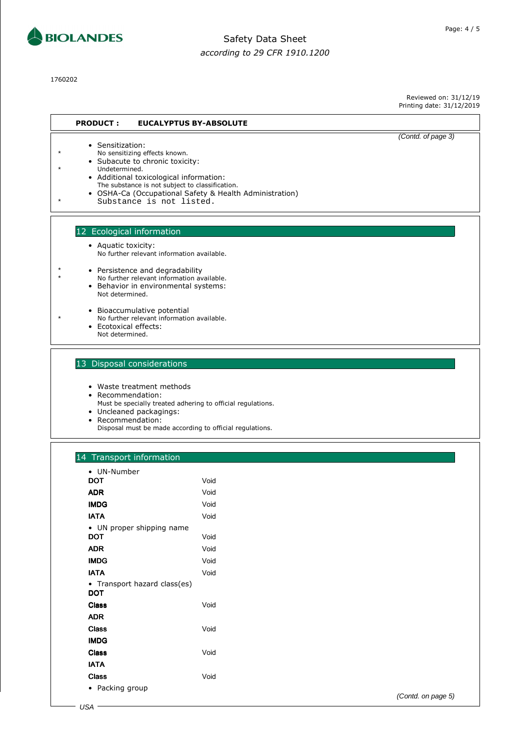

1760202

Reviewed on: 31/12/19 Printing date: 31/12/2019

(Contd. on page 5)

| <b>PRODUCT:</b>                                     | <b>EUCALYPTUS BY-ABSOLUTE</b>                                                                                                                                                                                                                         |                    |
|-----------------------------------------------------|-------------------------------------------------------------------------------------------------------------------------------------------------------------------------------------------------------------------------------------------------------|--------------------|
| • Sensitization:<br>Undetermined.                   | No sensitizing effects known.<br>• Subacute to chronic toxicity:<br>• Additional toxicological information:<br>The substance is not subject to classification.<br>• OSHA-Ca (Occupational Safety & Health Administration)<br>Substance is not listed. | (Contd. of page 3) |
| 12 Ecological information<br>• Aquatic toxicity:    | No further relevant information available.                                                                                                                                                                                                            |                    |
| Not determined.                                     | • Persistence and degradability<br>No further relevant information available.<br>• Behavior in environmental systems:                                                                                                                                 |                    |
| $\bullet$<br>Ecotoxical effects:<br>Not determined. | Bioaccumulative potential<br>No further relevant information available.                                                                                                                                                                               |                    |
|                                                     | 13 Disposal considerations                                                                                                                                                                                                                            |                    |

• Waste treatment methods

• Recommendation:

Must be specially treated adhering to official regulations.

• Uncleaned packagings:

• Recommendation:

Disposal must be made according to official regulations.

#### 14 Transport information

| UN-Number                             |      |
|---------------------------------------|------|
| <b>DOT</b>                            | Void |
| <b>ADR</b>                            | Void |
| <b>IMDG</b>                           | Void |
| <b>IATA</b>                           | Void |
| UN proper shipping name<br><b>DOT</b> | Void |
| <b>ADR</b>                            | Void |
| IMDG                                  | Void |
| <b>IATA</b>                           | Void |
| • Transport hazard class(es)          |      |
| <b>DOT</b>                            |      |
| Class                                 | Void |
| <b>ADR</b>                            |      |
| Class                                 | Void |
| <b>IMDG</b>                           |      |
| Class                                 | Void |
| <b>IATA</b>                           |      |
| <b>Class</b>                          | Void |
| Packing group                         |      |